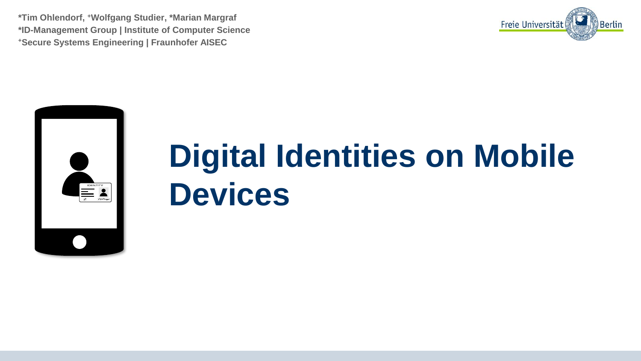**\*Tim Ohlendorf, <sup>+</sup>Wolfgang Studier, \*Marian Margraf \*ID-Management Group | Institute of Computer Science <sup>+</sup>Secure Systems Engineering | Fraunhofer AISEC**





# **Digital Identities on Mobile Devices**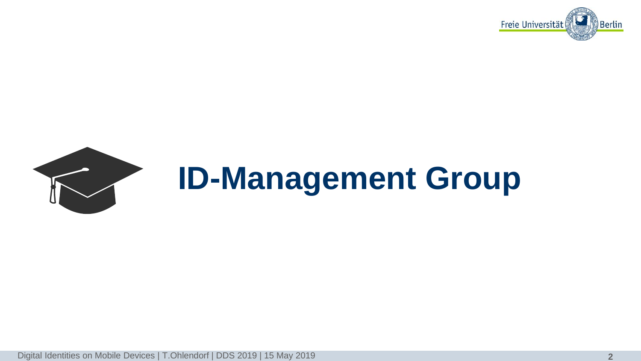



Digital Identities on Mobile Devices | T.Ohlendorf | DDS 2019 | 15 May 2019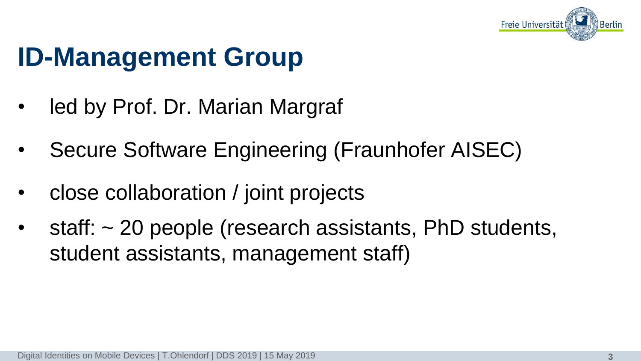

## **ID-Management Group**

- led by Prof. Dr. Marian Margraf
- Secure Software Engineering (Fraunhofer AISEC)
- close collaboration / joint projects
- staff: ~ 20 people (research assistants, PhD students, student assistants, management staff)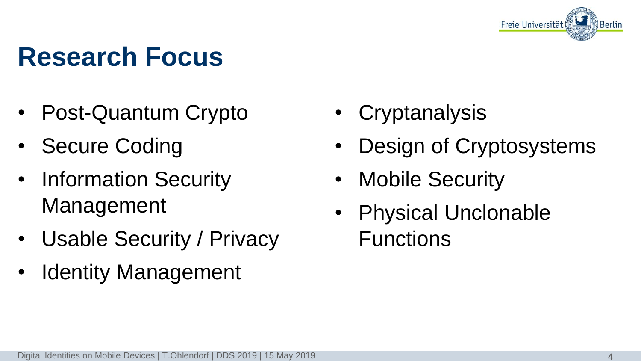

#### **Research Focus**

- Post-Quantum Crypto
- **Secure Coding**
- Information Security Management
- Usable Security / Privacy
- Identity Management
- **Cryptanalysis**
- Design of Cryptosystems
- Mobile Security
- Physical Unclonable Functions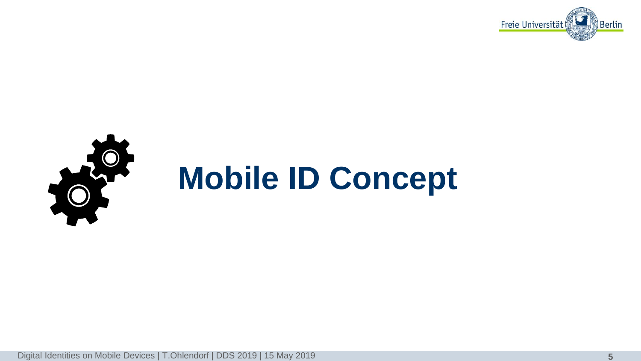

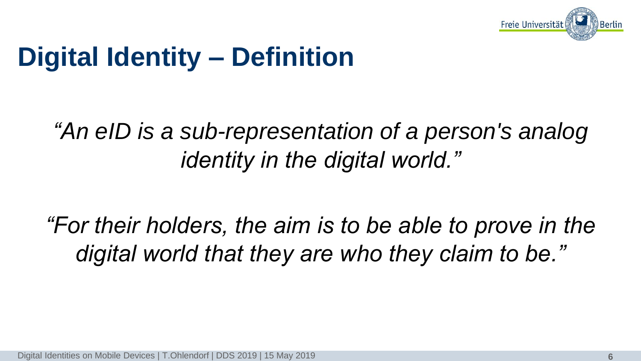

# **Digital Identity – Definition**

#### *"An eID is a sub-representation of a person's analog identity in the digital world."*

*"For their holders, the aim is to be able to prove in the digital world that they are who they claim to be."*

Digital Identities on Mobile Devices | T.Ohlendorf | DDS 2019 | 15 May 2019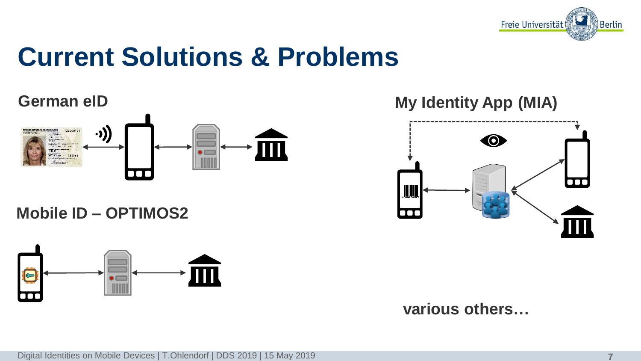

#### **Current Solutions & Problems**



**Mobile ID – OPTIMOS2**



**German eID My Identity App (MIA)** 



**various others…**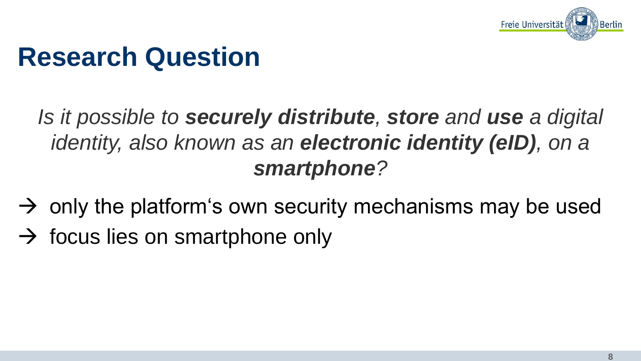

#### **Research Question**

*Is it possible to securely distribute, store and use a digital identity, also known as an electronic identity (eID), on a smartphone?*

- $\rightarrow$  only the platform's own security mechanisms may be used
- $\rightarrow$  focus lies on smartphone only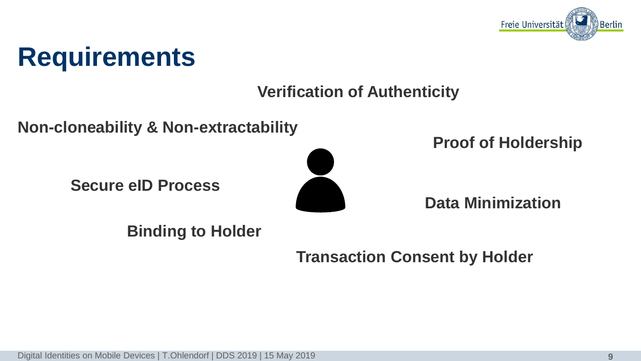

#### **Requirements**

#### **Verification of Authenticity**

**Non-cloneability & Non-extractability**

**Secure eID Process**



**Proof of Holdership**

**Data Minimization**

**Binding to Holder**

**Transaction Consent by Holder**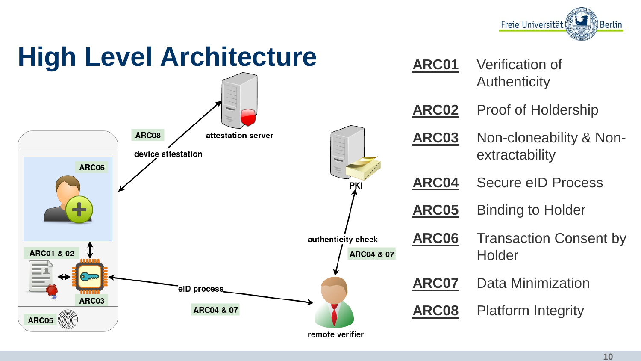

# **High Level Architecture**



| <b>ARC01</b> | <b>Verification of</b><br><b>Authenticity</b> |
|--------------|-----------------------------------------------|
| <b>ARC02</b> | <b>Proof of Holdership</b>                    |
| ARC03        | Non-cloneability & Non-<br>extractability     |
| <b>ARC04</b> | Secure eID Process                            |
| ARC05        | <b>Binding to Holder</b>                      |
| ARC06        | <b>Transaction Consent by</b><br>Holder       |
| <b>ARC07</b> | <b>Data Minimization</b>                      |
| ARC08        | <b>Platform Integrity</b>                     |
|              |                                               |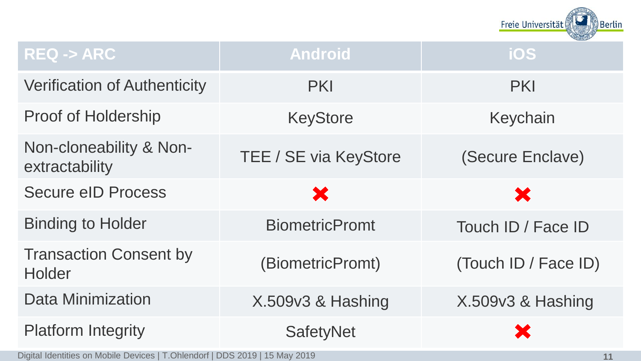

| $REQ \rightarrow ARC$                     | <b>Android</b>               | ios                  |
|-------------------------------------------|------------------------------|----------------------|
| <b>Verification of Authenticity</b>       | <b>PKI</b>                   | <b>PKI</b>           |
| <b>Proof of Holdership</b>                | <b>KeyStore</b>              | Keychain             |
| Non-cloneability & Non-<br>extractability | <b>TEE / SE via KeyStore</b> | (Secure Enclave)     |
| <b>Secure eID Process</b>                 | X                            | ×                    |
| <b>Binding to Holder</b>                  | <b>BiometricPromt</b>        | Touch ID / Face ID   |
| <b>Transaction Consent by</b><br>Holder   | (BiometricPromt)             | (Touch ID / Face ID) |
| <b>Data Minimization</b>                  | X.509v3 & Hashing            | X.509v3 & Hashing    |
| <b>Platform Integrity</b>                 | <b>SafetyNet</b>             |                      |

Digital Identities on Mobile Devices | T.Ohlendorf | DDS 2019 | 15 May 2019 **11**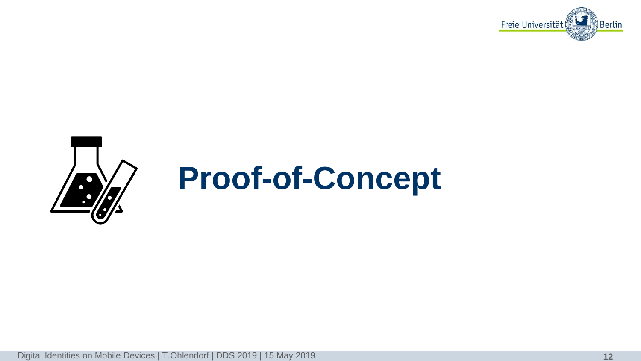

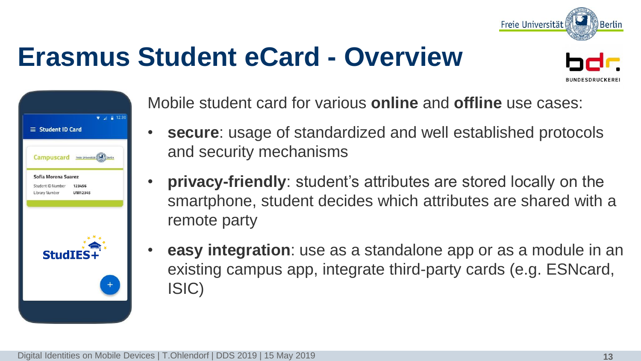

## **Erasmus Student eCard - Overview**



| $\equiv$ Student ID Card                                                   | $\sqrt{4}$ 12:30 |
|----------------------------------------------------------------------------|------------------|
| Campuscard Freie Universität                                               | Berlin           |
| Sofia Morena Suarez<br>Student ID Number 123456<br>Library Number UNI12345 |                  |
| StudIES+                                                                   |                  |
|                                                                            |                  |
|                                                                            |                  |

Mobile student card for various **online** and **offline** use cases:

- **secure**: usage of standardized and well established protocols and security mechanisms
- **privacy-friendly**: student's attributes are stored locally on the smartphone, student decides which attributes are shared with a remote party
- **easy integration**: use as a standalone app or as a module in an existing campus app, integrate third-party cards (e.g. ESNcard, ISIC)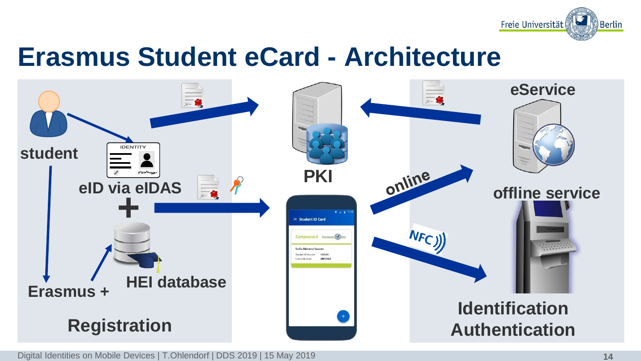

#### **Erasmus Student eCard - Architecture**



Digital Identities on Mobile Devices | T.Ohlendorf | DDS 2019 | 15 May 2019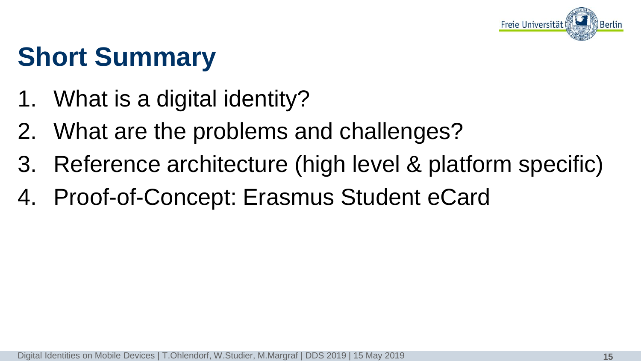

# **Short Summary**

- 1. What is a digital identity?
- 2. What are the problems and challenges?
- 3. Reference architecture (high level & platform specific)
- 4. Proof-of-Concept: Erasmus Student eCard